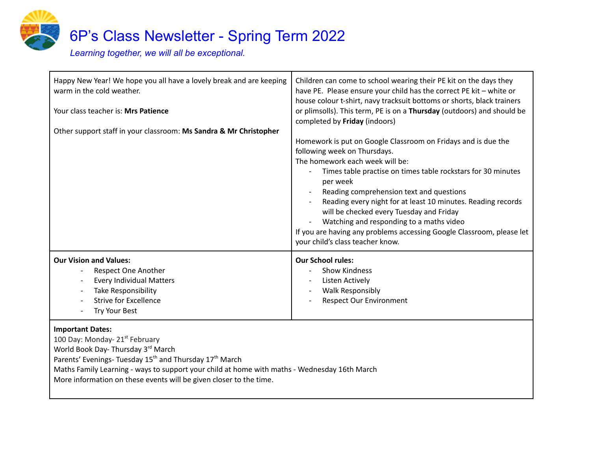

Happy New Year! We hope you all have a lovely break and are keeping warm in the cold weather. Your class teacher is: **Mrs Patience** Other support staff in your classroom: **Ms Sandra & Mr Christopher** Children can come to school wearing their PE kit on the days they have PE. Please ensure your child has the correct PE kit – white or house colour t-shirt, navy tracksuit bottoms or shorts, black trainers or plimsolls). This term, PE is on a **Thursday** (outdoors) and should be completed by **Friday** (indoors) Homework is put on Google Classroom on Fridays and is due the following week on Thursdays. The homework each week will be: - Times table practise on times table rockstars for 30 minutes per week Reading comprehension text and questions Reading every night for at least 10 minutes. Reading records will be checked every Tuesday and Friday Watching and responding to a maths video If you are having any problems accessing Google Classroom, please let your child's class teacher know. **Our Vision and Values:** Respect One Another - Every Individual Matters Take Responsibility Strive for Excellence - Try Your Best **Our School rules:** - Show Kindness Listen Actively - Walk Responsibly Respect Our Environment

#### **Important Dates:**

100 Day: Monday- 21<sup>st</sup> February World Book Day- Thursday 3<sup>rd</sup> March Parents' Evenings- Tuesday 15<sup>th</sup> and Thursday 17<sup>th</sup> March Maths Family Learning - ways to support your child at home with maths - Wednesday 16th March More information on these events will be given closer to the time.